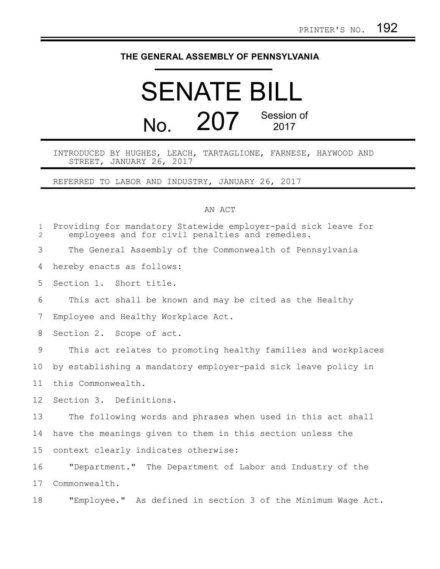## **THE GENERAL ASSEMBLY OF PENNSYLVANIA**

## SENATE BILL No. 207 Session of 2017

INTRODUCED BY HUGHES, LEACH, TARTAGLIONE, FARNESE, HAYWOOD AND STREET, JANUARY 26, 2017

REFERRED TO LABOR AND INDUSTRY, JANUARY 26, 2017

## AN ACT

| $\mathbf{1}$<br>$\overline{2}$ | Providing for mandatory Statewide employer-paid sick leave for<br>employees and for civil penalties and remedies. |
|--------------------------------|-------------------------------------------------------------------------------------------------------------------|
| 3                              | The General Assembly of the Commonwealth of Pennsylvania                                                          |
| 4                              | hereby enacts as follows:                                                                                         |
| 5                              | Section 1. Short title.                                                                                           |
| 6                              | This act shall be known and may be cited as the Healthy                                                           |
| 7                              | Employee and Healthy Workplace Act.                                                                               |
| 8                              | Section 2. Scope of act.                                                                                          |
| 9                              | This act relates to promoting healthy families and workplaces                                                     |
| 10                             | by establishing a mandatory employer-paid sick leave policy in                                                    |
| 11                             | this Commonwealth.                                                                                                |
| 12                             | Section 3. Definitions.                                                                                           |
| 13                             | The following words and phrases when used in this act shall                                                       |
| 14                             | have the meanings given to them in this section unless the                                                        |
| 15                             | context clearly indicates otherwise:                                                                              |
| 16                             | "Department." The Department of Labor and Industry of the                                                         |
| 17                             | Commonwealth.                                                                                                     |
| 18                             | "Employee." As defined in section 3 of the Minimum Wage Act.                                                      |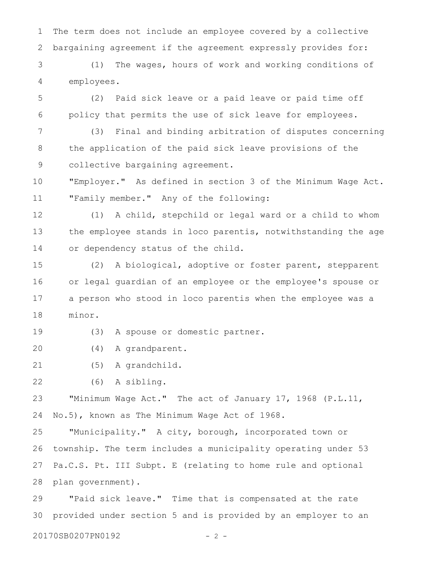The term does not include an employee covered by a collective bargaining agreement if the agreement expressly provides for: 1 2

(1) The wages, hours of work and working conditions of employees. 3 4

(2) Paid sick leave or a paid leave or paid time off policy that permits the use of sick leave for employees. 5 6

(3) Final and binding arbitration of disputes concerning the application of the paid sick leave provisions of the collective bargaining agreement. 7 8 9

"Employer." As defined in section 3 of the Minimum Wage Act. "Family member." Any of the following: 10 11

(1) A child, stepchild or legal ward or a child to whom the employee stands in loco parentis, notwithstanding the age or dependency status of the child. 12 13 14

(2) A biological, adoptive or foster parent, stepparent or legal guardian of an employee or the employee's spouse or a person who stood in loco parentis when the employee was a minor. 15 16 17 18

(3) A spouse or domestic partner. 19

(4) A grandparent. 20

(5) A grandchild. 21

(6) A sibling. 22

"Minimum Wage Act." The act of January 17, 1968 (P.L.11, No.5), known as The Minimum Wage Act of 1968. 23 24

"Municipality." A city, borough, incorporated town or township. The term includes a municipality operating under 53 Pa.C.S. Pt. III Subpt. E (relating to home rule and optional plan government). 25 26 27 28

"Paid sick leave." Time that is compensated at the rate provided under section 5 and is provided by an employer to an 29 30

20170SB0207PN0192 - 2 -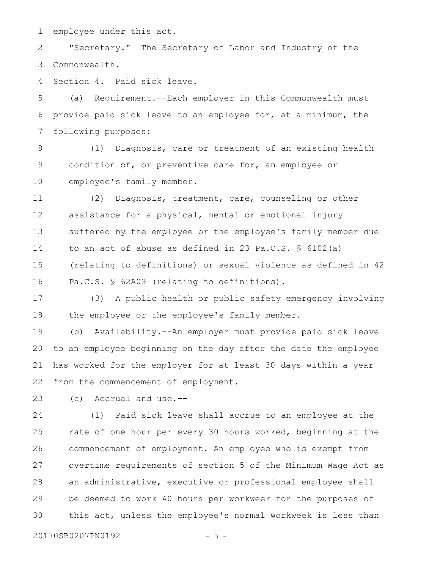employee under this act. 1

"Secretary." The Secretary of Labor and Industry of the Commonwealth. 2 3

Section 4. Paid sick leave. 4

(a) Requirement.--Each employer in this Commonwealth must provide paid sick leave to an employee for, at a minimum, the following purposes: 5 6 7

(1) Diagnosis, care or treatment of an existing health condition of, or preventive care for, an employee or employee's family member. 8 9 10

(2) Diagnosis, treatment, care, counseling or other assistance for a physical, mental or emotional injury suffered by the employee or the employee's family member due to an act of abuse as defined in 23 Pa.C.S.  $\frac{1}{5}$  6102(a) (relating to definitions) or sexual violence as defined in 42 Pa.C.S. § 62A03 (relating to definitions). 11 12 13 14 15 16

(3) A public health or public safety emergency involving the employee or the employee's family member. 17 18

(b) Availability.--An employer must provide paid sick leave to an employee beginning on the day after the date the employee has worked for the employer for at least 30 days within a year from the commencement of employment. 19 20 21 22

(c) Accrual and use.-- 23

(1) Paid sick leave shall accrue to an employee at the rate of one hour per every 30 hours worked, beginning at the commencement of employment. An employee who is exempt from overtime requirements of section 5 of the Minimum Wage Act as an administrative, executive or professional employee shall be deemed to work 40 hours per workweek for the purposes of this act, unless the employee's normal workweek is less than 24 25 26 27 28 29 30

20170SB0207PN0192 - 3 -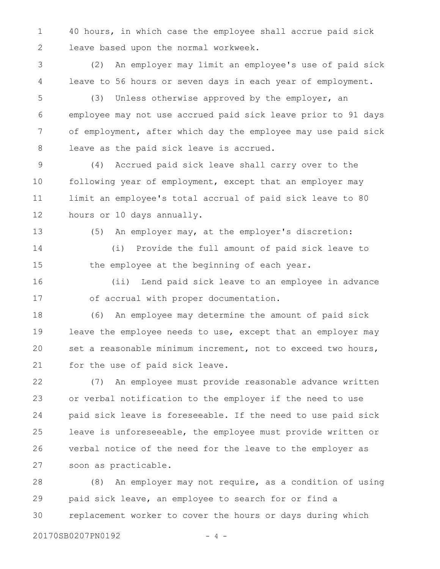40 hours, in which case the employee shall accrue paid sick leave based upon the normal workweek. 1 2

(2) An employer may limit an employee's use of paid sick leave to 56 hours or seven days in each year of employment. 3 4

(3) Unless otherwise approved by the employer, an employee may not use accrued paid sick leave prior to 91 days of employment, after which day the employee may use paid sick leave as the paid sick leave is accrued. 5 6 7 8

(4) Accrued paid sick leave shall carry over to the following year of employment, except that an employer may limit an employee's total accrual of paid sick leave to 80 hours or 10 days annually. 9 10 11 12

13

(5) An employer may, at the employer's discretion:

(i) Provide the full amount of paid sick leave to the employee at the beginning of each year. 14 15

(ii) Lend paid sick leave to an employee in advance of accrual with proper documentation. 16 17

(6) An employee may determine the amount of paid sick leave the employee needs to use, except that an employer may set a reasonable minimum increment, not to exceed two hours, for the use of paid sick leave. 18 19 20 21

(7) An employee must provide reasonable advance written or verbal notification to the employer if the need to use paid sick leave is foreseeable. If the need to use paid sick leave is unforeseeable, the employee must provide written or verbal notice of the need for the leave to the employer as soon as practicable. 22 23 24 25 26 27

(8) An employer may not require, as a condition of using paid sick leave, an employee to search for or find a replacement worker to cover the hours or days during which 28 29 30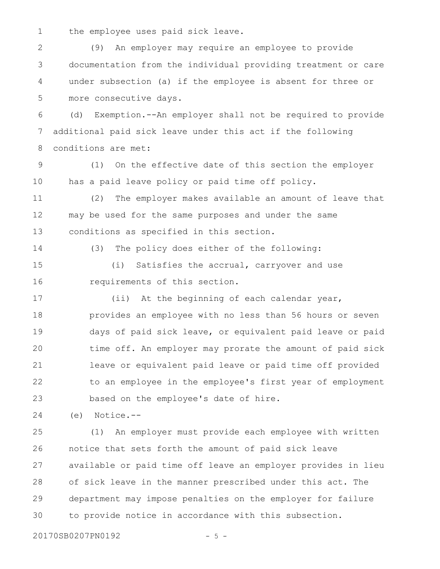the employee uses paid sick leave. 1

(9) An employer may require an employee to provide documentation from the individual providing treatment or care under subsection (a) if the employee is absent for three or more consecutive days. 2 3 4 5

(d) Exemption.--An employer shall not be required to provide additional paid sick leave under this act if the following conditions are met: 6 7 8

(1) On the effective date of this section the employer has a paid leave policy or paid time off policy. 9 10

(2) The employer makes available an amount of leave that may be used for the same purposes and under the same conditions as specified in this section. 11 12 13

14

(3) The policy does either of the following:

(i) Satisfies the accrual, carryover and use requirements of this section. 15 16

(ii) At the beginning of each calendar year, provides an employee with no less than 56 hours or seven days of paid sick leave, or equivalent paid leave or paid time off. An employer may prorate the amount of paid sick leave or equivalent paid leave or paid time off provided to an employee in the employee's first year of employment based on the employee's date of hire. 17 18 19 20 21 22 23

(e) Notice.-- 24

(1) An employer must provide each employee with written notice that sets forth the amount of paid sick leave available or paid time off leave an employer provides in lieu of sick leave in the manner prescribed under this act. The department may impose penalties on the employer for failure to provide notice in accordance with this subsection. 25 26 27 28 29 30

20170SB0207PN0192 - 5 -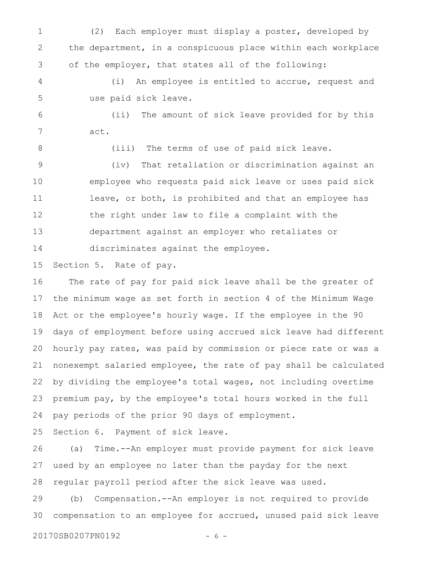(2) Each employer must display a poster, developed by the department, in a conspicuous place within each workplace of the employer, that states all of the following: 1 2 3

(i) An employee is entitled to accrue, request and use paid sick leave. 4 5

(ii) The amount of sick leave provided for by this act. 6 7

(iii) The terms of use of paid sick leave.

(iv) That retaliation or discrimination against an employee who requests paid sick leave or uses paid sick leave, or both, is prohibited and that an employee has the right under law to file a complaint with the department against an employer who retaliates or discriminates against the employee. 9 10 11 12 13 14

Section 5. Rate of pay. 15

8

The rate of pay for paid sick leave shall be the greater of the minimum wage as set forth in section 4 of the Minimum Wage Act or the employee's hourly wage. If the employee in the 90 days of employment before using accrued sick leave had different hourly pay rates, was paid by commission or piece rate or was a nonexempt salaried employee, the rate of pay shall be calculated by dividing the employee's total wages, not including overtime premium pay, by the employee's total hours worked in the full pay periods of the prior 90 days of employment. 16 17 18 19 20 21 22 23 24

Section 6. Payment of sick leave. 25

(a) Time.--An employer must provide payment for sick leave used by an employee no later than the payday for the next regular payroll period after the sick leave was used. 26 27 28

(b) Compensation.--An employer is not required to provide compensation to an employee for accrued, unused paid sick leave 29 30

20170SB0207PN0192 - 6 -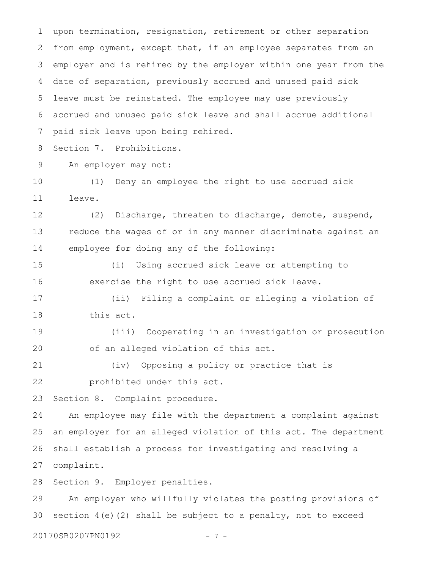upon termination, resignation, retirement or other separation from employment, except that, if an employee separates from an employer and is rehired by the employer within one year from the date of separation, previously accrued and unused paid sick leave must be reinstated. The employee may use previously accrued and unused paid sick leave and shall accrue additional paid sick leave upon being rehired. 1 2 3 4 5 6 7

Section 7. Prohibitions. 8

An employer may not: 9

(1) Deny an employee the right to use accrued sick leave. 10 11

(2) Discharge, threaten to discharge, demote, suspend, reduce the wages of or in any manner discriminate against an employee for doing any of the following: 12 13 14

(i) Using accrued sick leave or attempting to exercise the right to use accrued sick leave. 15 16

(ii) Filing a complaint or alleging a violation of this act. 17 18

(iii) Cooperating in an investigation or prosecution of an alleged violation of this act. 19 20

```
(iv) Opposing a policy or practice that is
           prohibited under this act.
21
22
```
Section 8. Complaint procedure. 23

An employee may file with the department a complaint against an employer for an alleged violation of this act. The department shall establish a process for investigating and resolving a complaint. 24 25 26 27

Section 9. Employer penalties. 28

An employer who willfully violates the posting provisions of section  $4(e)$  (2) shall be subject to a penalty, not to exceed 29 30

20170SB0207PN0192 - 7 -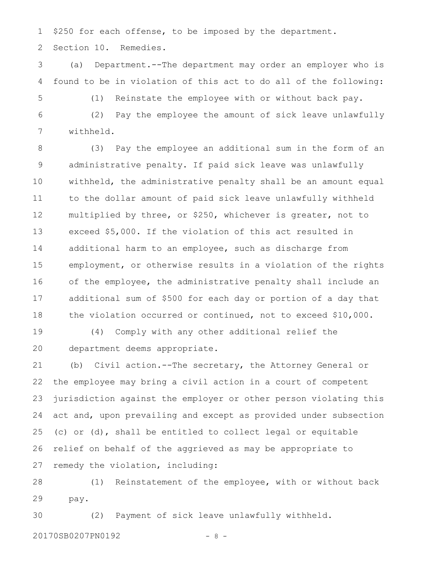\$250 for each offense, to be imposed by the department. 1

Section 10. Remedies. 2

(a) Department.--The department may order an employer who is found to be in violation of this act to do all of the following: 3 4

5

(1) Reinstate the employee with or without back pay.

(2) Pay the employee the amount of sick leave unlawfully withheld. 6 7

(3) Pay the employee an additional sum in the form of an administrative penalty. If paid sick leave was unlawfully withheld, the administrative penalty shall be an amount equal to the dollar amount of paid sick leave unlawfully withheld multiplied by three, or \$250, whichever is greater, not to exceed \$5,000. If the violation of this act resulted in additional harm to an employee, such as discharge from employment, or otherwise results in a violation of the rights of the employee, the administrative penalty shall include an additional sum of \$500 for each day or portion of a day that the violation occurred or continued, not to exceed \$10,000. 8 9 10 11 12 13 14 15 16 17 18

(4) Comply with any other additional relief the department deems appropriate. 19 20

(b) Civil action.--The secretary, the Attorney General or the employee may bring a civil action in a court of competent jurisdiction against the employer or other person violating this act and, upon prevailing and except as provided under subsection (c) or (d), shall be entitled to collect legal or equitable relief on behalf of the aggrieved as may be appropriate to remedy the violation, including: 21 22 23 24 25 26 27

(1) Reinstatement of the employee, with or without back pay. 28 29

(2) Payment of sick leave unlawfully withheld. 20170SB0207PN0192 - 8 -30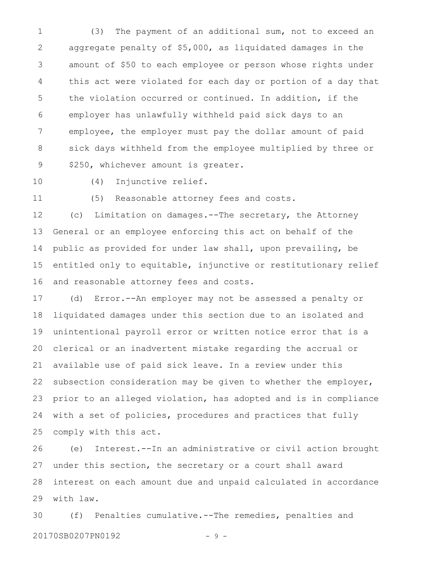(3) The payment of an additional sum, not to exceed an aggregate penalty of \$5,000, as liquidated damages in the amount of \$50 to each employee or person whose rights under this act were violated for each day or portion of a day that the violation occurred or continued. In addition, if the employer has unlawfully withheld paid sick days to an employee, the employer must pay the dollar amount of paid sick days withheld from the employee multiplied by three or \$250, whichever amount is greater. 1 2 3 4 5 6 7 8 9

10

(4) Injunctive relief.

11

(5) Reasonable attorney fees and costs.

(c) Limitation on damages.--The secretary, the Attorney General or an employee enforcing this act on behalf of the public as provided for under law shall, upon prevailing, be entitled only to equitable, injunctive or restitutionary relief and reasonable attorney fees and costs. 12 13 14 15 16

(d) Error.--An employer may not be assessed a penalty or liquidated damages under this section due to an isolated and unintentional payroll error or written notice error that is a clerical or an inadvertent mistake regarding the accrual or available use of paid sick leave. In a review under this subsection consideration may be given to whether the employer, prior to an alleged violation, has adopted and is in compliance with a set of policies, procedures and practices that fully comply with this act. 17 18 19 20 21 22 23 24 25

(e) Interest.--In an administrative or civil action brought under this section, the secretary or a court shall award interest on each amount due and unpaid calculated in accordance with law. 26 27 28 29

(f) Penalties cumulative.--The remedies, penalties and 20170SB0207PN0192 - 9 -30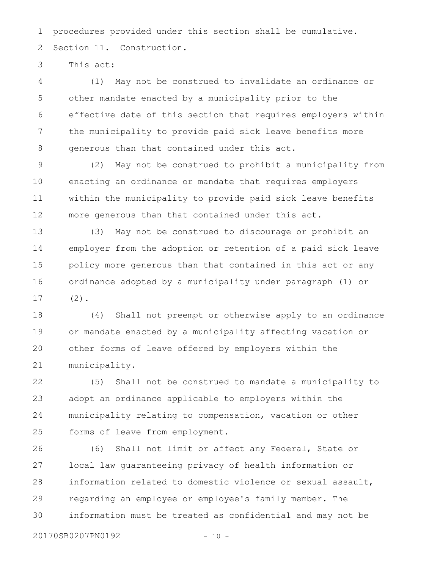procedures provided under this section shall be cumulative. Section 11. Construction. 1 2

This act: 3

(1) May not be construed to invalidate an ordinance or other mandate enacted by a municipality prior to the effective date of this section that requires employers within the municipality to provide paid sick leave benefits more generous than that contained under this act. 4 5 6 7 8

(2) May not be construed to prohibit a municipality from enacting an ordinance or mandate that requires employers within the municipality to provide paid sick leave benefits more generous than that contained under this act. 9 10 11 12

(3) May not be construed to discourage or prohibit an employer from the adoption or retention of a paid sick leave policy more generous than that contained in this act or any ordinance adopted by a municipality under paragraph (1) or  $(2)$ . 13 14 15 16 17

(4) Shall not preempt or otherwise apply to an ordinance or mandate enacted by a municipality affecting vacation or other forms of leave offered by employers within the municipality. 18 19 20 21

(5) Shall not be construed to mandate a municipality to adopt an ordinance applicable to employers within the municipality relating to compensation, vacation or other forms of leave from employment. 22 23 24 25

(6) Shall not limit or affect any Federal, State or local law guaranteeing privacy of health information or information related to domestic violence or sexual assault, regarding an employee or employee's family member. The information must be treated as confidential and may not be 26 27 28 29 30

20170SB0207PN0192 - 10 -